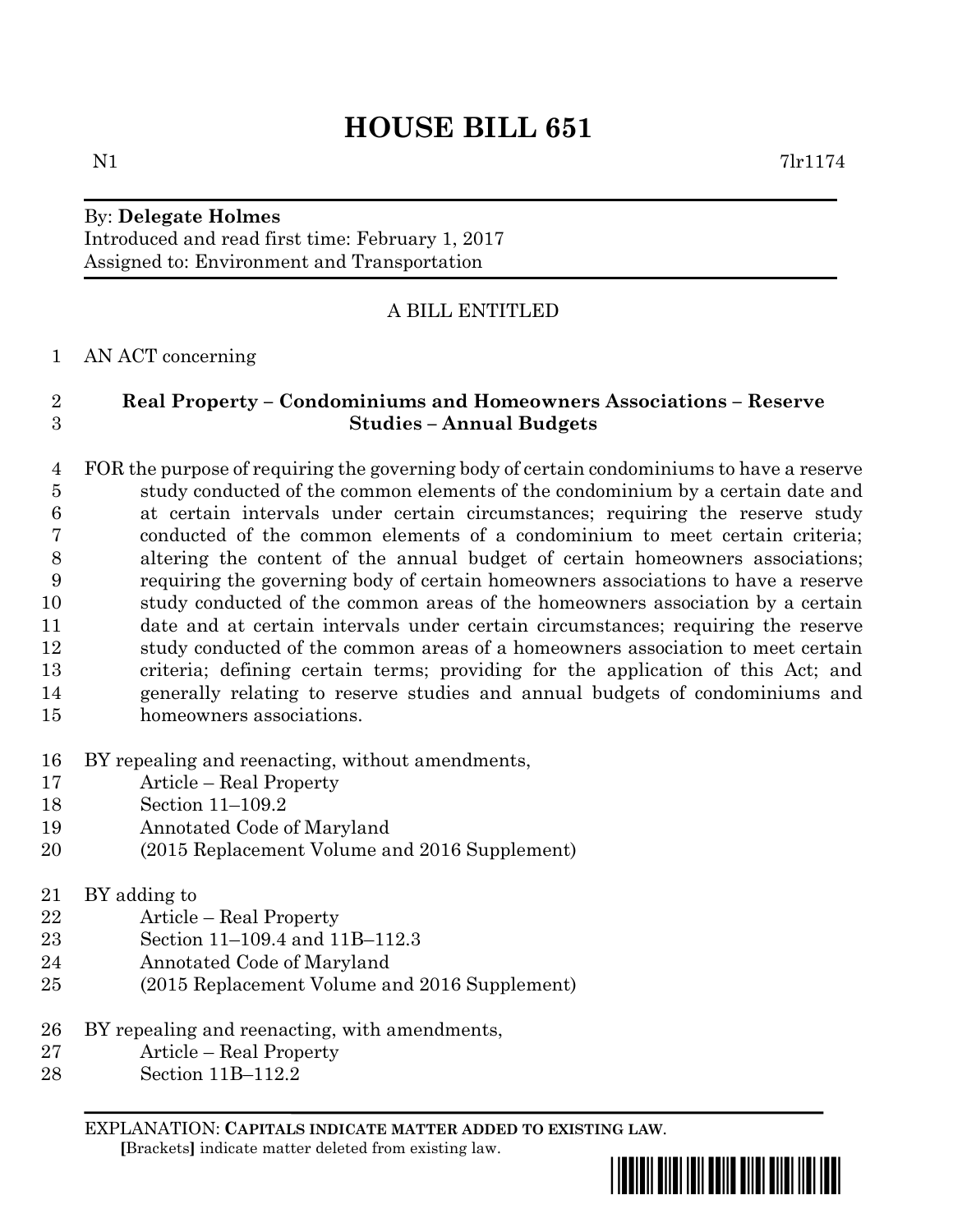# **HOUSE BILL 651**

## By: **Delegate Holmes**

Introduced and read first time: February 1, 2017 Assigned to: Environment and Transportation

### A BILL ENTITLED

#### AN ACT concerning

## **Real Property – Condominiums and Homeowners Associations – Reserve Studies – Annual Budgets**

- FOR the purpose of requiring the governing body of certain condominiums to have a reserve study conducted of the common elements of the condominium by a certain date and at certain intervals under certain circumstances; requiring the reserve study conducted of the common elements of a condominium to meet certain criteria; altering the content of the annual budget of certain homeowners associations; requiring the governing body of certain homeowners associations to have a reserve study conducted of the common areas of the homeowners association by a certain date and at certain intervals under certain circumstances; requiring the reserve study conducted of the common areas of a homeowners association to meet certain criteria; defining certain terms; providing for the application of this Act; and generally relating to reserve studies and annual budgets of condominiums and homeowners associations.
- BY repealing and reenacting, without amendments,
- Article Real Property
- Section 11–109.2
- Annotated Code of Maryland
- (2015 Replacement Volume and 2016 Supplement)
- BY adding to
- Article Real Property
- Section 11–109.4 and 11B–112.3
- Annotated Code of Maryland
- (2015 Replacement Volume and 2016 Supplement)
- BY repealing and reenacting, with amendments,
- Article Real Property
- Section 11B–112.2

EXPLANATION: **CAPITALS INDICATE MATTER ADDED TO EXISTING LAW**.  **[**Brackets**]** indicate matter deleted from existing law.

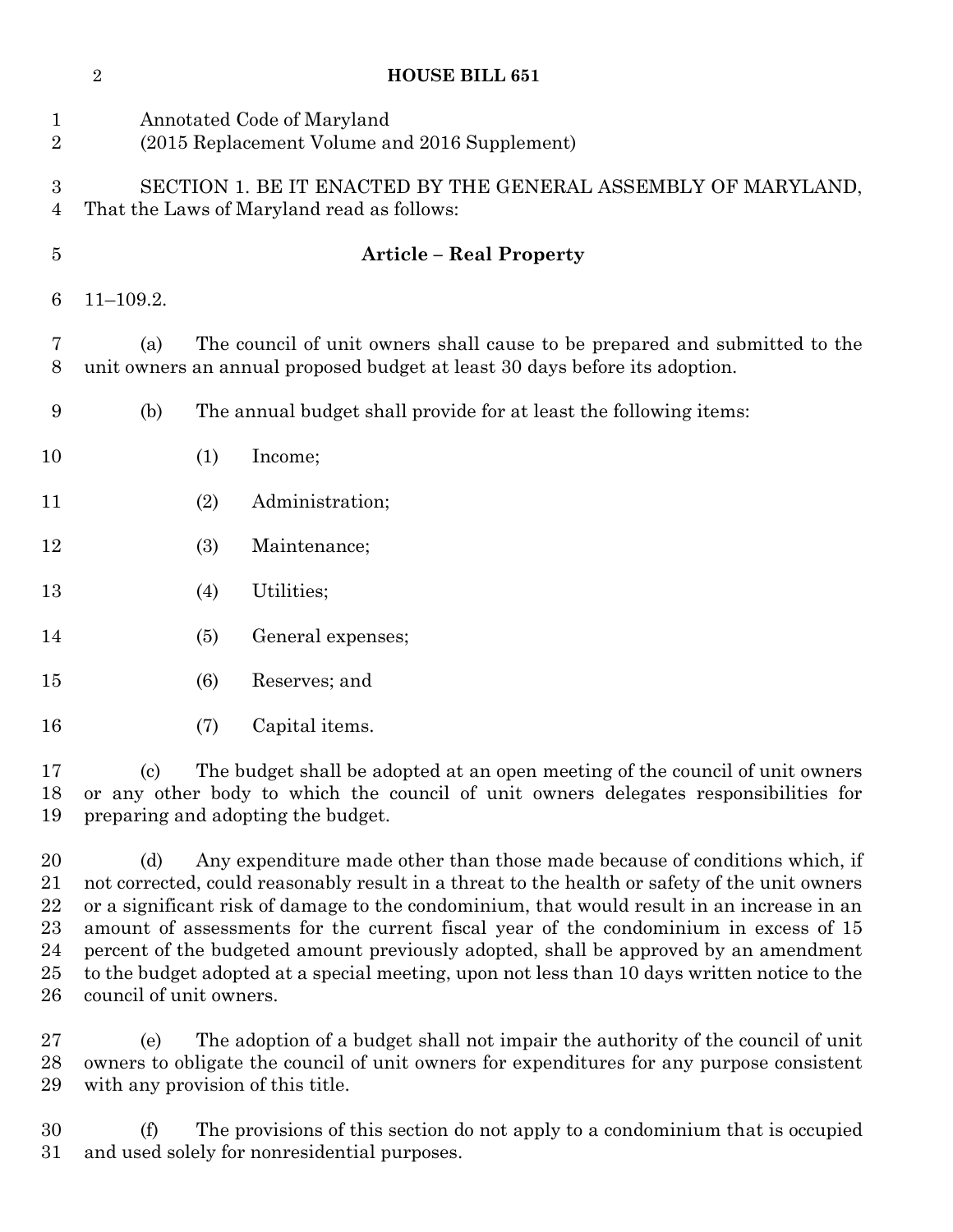|                                | $\boldsymbol{2}$                                                                                            | <b>HOUSE BILL 651</b>                                                                                                                                                                                      |  |
|--------------------------------|-------------------------------------------------------------------------------------------------------------|------------------------------------------------------------------------------------------------------------------------------------------------------------------------------------------------------------|--|
| $\mathbf{1}$<br>$\overline{2}$ |                                                                                                             | Annotated Code of Maryland<br>(2015 Replacement Volume and 2016 Supplement)                                                                                                                                |  |
| 3<br>$\overline{4}$            | SECTION 1. BE IT ENACTED BY THE GENERAL ASSEMBLY OF MARYLAND,<br>That the Laws of Maryland read as follows: |                                                                                                                                                                                                            |  |
| $\overline{5}$                 |                                                                                                             | <b>Article - Real Property</b>                                                                                                                                                                             |  |
| 6                              | $11 - 109.2.$                                                                                               |                                                                                                                                                                                                            |  |
| 7<br>8                         | (a)                                                                                                         | The council of unit owners shall cause to be prepared and submitted to the<br>unit owners an annual proposed budget at least 30 days before its adoption.                                                  |  |
| $\boldsymbol{9}$               | (b)                                                                                                         | The annual budget shall provide for at least the following items:                                                                                                                                          |  |
| 10                             |                                                                                                             | (1)<br>Income;                                                                                                                                                                                             |  |
| 11                             |                                                                                                             | Administration;<br>(2)                                                                                                                                                                                     |  |
| 12                             |                                                                                                             | (3)<br>Maintenance;                                                                                                                                                                                        |  |
| 13                             |                                                                                                             | Utilities;<br>(4)                                                                                                                                                                                          |  |
| 14                             |                                                                                                             | (5)<br>General expenses;                                                                                                                                                                                   |  |
| 15                             |                                                                                                             | Reserves; and<br>(6)                                                                                                                                                                                       |  |
| 16                             |                                                                                                             | Capital items.<br>(7)                                                                                                                                                                                      |  |
| 17<br>18<br>19                 | $\left( \mathrm{c}\right)$                                                                                  | The budget shall be adopted at an open meeting of the council of unit owners<br>or any other body to which the council of unit owners delegates responsibilities for<br>preparing and adopting the budget. |  |

20 (d) Any expenditure made other than those made because of conditions which, if not corrected, could reasonably result in a threat to the health or safety of the unit owners or a significant risk of damage to the condominium, that would result in an increase in an amount of assessments for the current fiscal year of the condominium in excess of 15 percent of the budgeted amount previously adopted, shall be approved by an amendment to the budget adopted at a special meeting, upon not less than 10 days written notice to the council of unit owners.

 (e) The adoption of a budget shall not impair the authority of the council of unit owners to obligate the council of unit owners for expenditures for any purpose consistent with any provision of this title.

 (f) The provisions of this section do not apply to a condominium that is occupied and used solely for nonresidential purposes.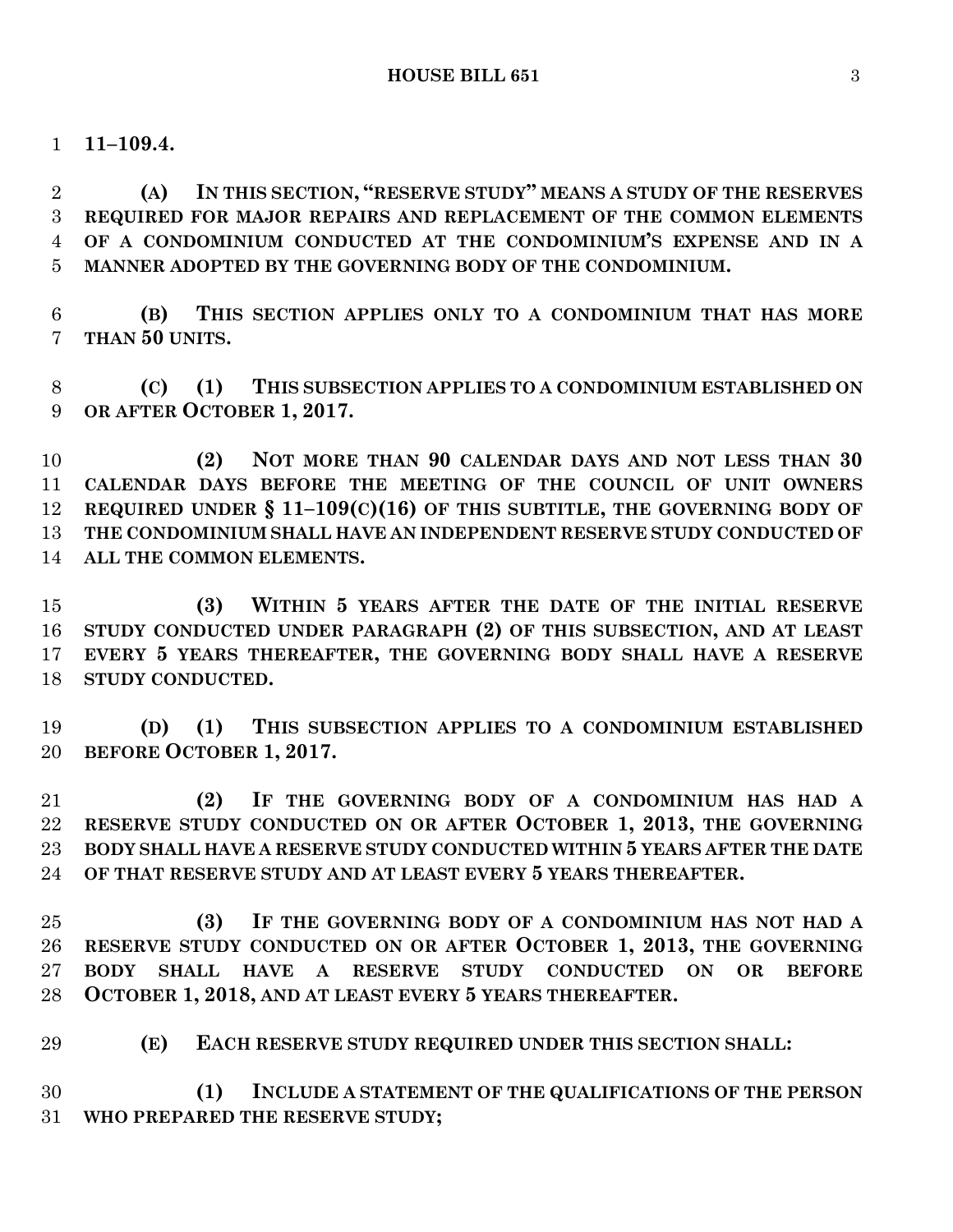**11–109.4.**

 **(A) IN THIS SECTION, "RESERVE STUDY" MEANS A STUDY OF THE RESERVES REQUIRED FOR MAJOR REPAIRS AND REPLACEMENT OF THE COMMON ELEMENTS OF A CONDOMINIUM CONDUCTED AT THE CONDOMINIUM'S EXPENSE AND IN A MANNER ADOPTED BY THE GOVERNING BODY OF THE CONDOMINIUM.**

 **(B) THIS SECTION APPLIES ONLY TO A CONDOMINIUM THAT HAS MORE THAN 50 UNITS.**

 **(C) (1) THIS SUBSECTION APPLIES TO A CONDOMINIUM ESTABLISHED ON OR AFTER OCTOBER 1, 2017.**

 **(2) NOT MORE THAN 90 CALENDAR DAYS AND NOT LESS THAN 30 CALENDAR DAYS BEFORE THE MEETING OF THE COUNCIL OF UNIT OWNERS REQUIRED UNDER § 11–109(C)(16) OF THIS SUBTITLE, THE GOVERNING BODY OF THE CONDOMINIUM SHALL HAVE AN INDEPENDENT RESERVE STUDY CONDUCTED OF ALL THE COMMON ELEMENTS.**

 **(3) WITHIN 5 YEARS AFTER THE DATE OF THE INITIAL RESERVE STUDY CONDUCTED UNDER PARAGRAPH (2) OF THIS SUBSECTION, AND AT LEAST EVERY 5 YEARS THEREAFTER, THE GOVERNING BODY SHALL HAVE A RESERVE STUDY CONDUCTED.**

 **(D) (1) THIS SUBSECTION APPLIES TO A CONDOMINIUM ESTABLISHED BEFORE OCTOBER 1, 2017.**

 **(2) IF THE GOVERNING BODY OF A CONDOMINIUM HAS HAD A RESERVE STUDY CONDUCTED ON OR AFTER OCTOBER 1, 2013, THE GOVERNING BODY SHALL HAVE A RESERVE STUDY CONDUCTED WITHIN 5 YEARS AFTER THE DATE OF THAT RESERVE STUDY AND AT LEAST EVERY 5 YEARS THEREAFTER.**

 **(3) IF THE GOVERNING BODY OF A CONDOMINIUM HAS NOT HAD A RESERVE STUDY CONDUCTED ON OR AFTER OCTOBER 1, 2013, THE GOVERNING BODY SHALL HAVE A RESERVE STUDY CONDUCTED ON OR BEFORE OCTOBER 1, 2018, AND AT LEAST EVERY 5 YEARS THEREAFTER.**

**(E) EACH RESERVE STUDY REQUIRED UNDER THIS SECTION SHALL:**

 **(1) INCLUDE A STATEMENT OF THE QUALIFICATIONS OF THE PERSON WHO PREPARED THE RESERVE STUDY;**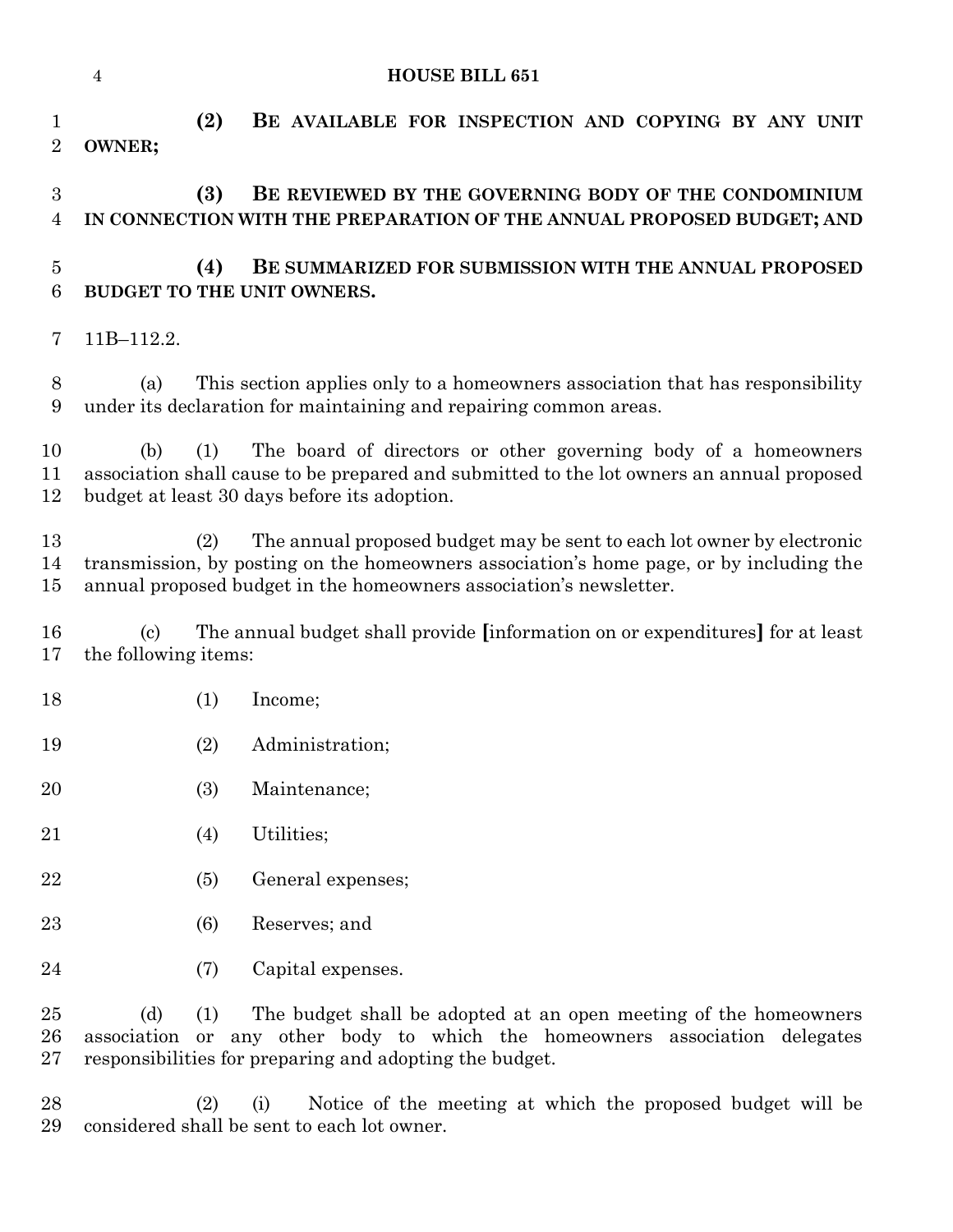|                                    | $\overline{4}$                                     | <b>HOUSE BILL 651</b>                                                                                                                                                                                                                          |
|------------------------------------|----------------------------------------------------|------------------------------------------------------------------------------------------------------------------------------------------------------------------------------------------------------------------------------------------------|
| 1<br>$\overline{2}$                | OWNER;                                             | (2)<br>BE AVAILABLE FOR INSPECTION AND COPYING BY ANY UNIT                                                                                                                                                                                     |
| $\boldsymbol{3}$<br>$\overline{4}$ |                                                    | (3)<br>BE REVIEWED BY THE GOVERNING BODY OF THE CONDOMINIUM<br>IN CONNECTION WITH THE PREPARATION OF THE ANNUAL PROPOSED BUDGET; AND                                                                                                           |
| $\overline{5}$<br>6                |                                                    | (4)<br>BE SUMMARIZED FOR SUBMISSION WITH THE ANNUAL PROPOSED<br>BUDGET TO THE UNIT OWNERS.                                                                                                                                                     |
| 7                                  | 11B-112.2.                                         |                                                                                                                                                                                                                                                |
| 8<br>9                             | (a)                                                | This section applies only to a homeowners association that has responsibility<br>under its declaration for maintaining and repairing common areas.                                                                                             |
| 10<br>11<br>12                     | (b)                                                | The board of directors or other governing body of a homeowners<br>(1)<br>association shall cause to be prepared and submitted to the lot owners an annual proposed<br>budget at least 30 days before its adoption.                             |
| 13<br>14<br>15                     |                                                    | The annual proposed budget may be sent to each lot owner by electronic<br>(2)<br>transmission, by posting on the homeowners association's home page, or by including the<br>annual proposed budget in the homeowners association's newsletter. |
| 16<br>17                           | $\left( \mathrm{c}\right)$<br>the following items: | The annual budget shall provide (information on or expenditures) for at least                                                                                                                                                                  |
| 18                                 |                                                    | (1)<br>Income;                                                                                                                                                                                                                                 |
| 19                                 |                                                    | (2)<br>Administration;                                                                                                                                                                                                                         |
| 20                                 |                                                    | (3)<br>Maintenance;                                                                                                                                                                                                                            |
| 21                                 |                                                    | Utilities;<br>(4)                                                                                                                                                                                                                              |
| 22                                 |                                                    | General expenses;<br>(5)                                                                                                                                                                                                                       |
| 23                                 |                                                    | Reserves; and<br>(6)                                                                                                                                                                                                                           |
| 24                                 |                                                    | Capital expenses.<br>(7)                                                                                                                                                                                                                       |
| 25<br>26<br>27                     | (d)<br>association                                 | (1)<br>The budget shall be adopted at an open meeting of the homeowners<br>any other body to which the homeowners association delegates<br>or<br>responsibilities for preparing and adopting the budget.                                       |
| 28<br>29                           |                                                    | (2)<br>Notice of the meeting at which the proposed budget will be<br>(i)<br>considered shall be sent to each lot owner.                                                                                                                        |

considered shall be sent to each lot owner.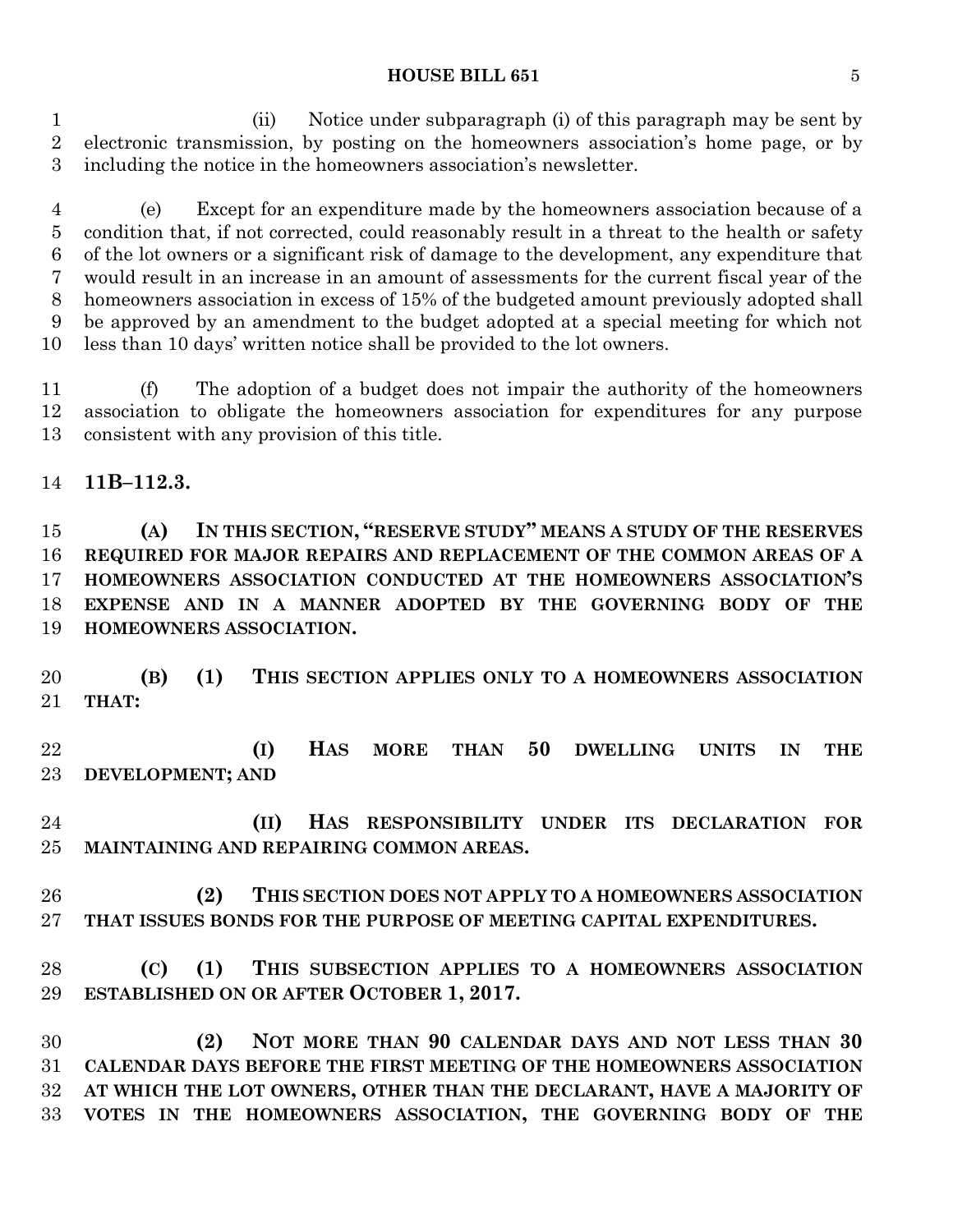#### **HOUSE BILL 651** 5

 (ii) Notice under subparagraph (i) of this paragraph may be sent by electronic transmission, by posting on the homeowners association's home page, or by including the notice in the homeowners association's newsletter.

 (e) Except for an expenditure made by the homeowners association because of a condition that, if not corrected, could reasonably result in a threat to the health or safety of the lot owners or a significant risk of damage to the development, any expenditure that would result in an increase in an amount of assessments for the current fiscal year of the homeowners association in excess of 15% of the budgeted amount previously adopted shall be approved by an amendment to the budget adopted at a special meeting for which not less than 10 days' written notice shall be provided to the lot owners.

 (f) The adoption of a budget does not impair the authority of the homeowners association to obligate the homeowners association for expenditures for any purpose consistent with any provision of this title.

**11B–112.3.**

 **(A) IN THIS SECTION, "RESERVE STUDY" MEANS A STUDY OF THE RESERVES REQUIRED FOR MAJOR REPAIRS AND REPLACEMENT OF THE COMMON AREAS OF A HOMEOWNERS ASSOCIATION CONDUCTED AT THE HOMEOWNERS ASSOCIATION'S EXPENSE AND IN A MANNER ADOPTED BY THE GOVERNING BODY OF THE HOMEOWNERS ASSOCIATION.**

 **(B) (1) THIS SECTION APPLIES ONLY TO A HOMEOWNERS ASSOCIATION THAT:**

 **(I) HAS MORE THAN 50 DWELLING UNITS IN THE DEVELOPMENT; AND**

 **(II) HAS RESPONSIBILITY UNDER ITS DECLARATION FOR MAINTAINING AND REPAIRING COMMON AREAS.**

 **(2) THIS SECTION DOES NOT APPLY TO A HOMEOWNERS ASSOCIATION THAT ISSUES BONDS FOR THE PURPOSE OF MEETING CAPITAL EXPENDITURES.**

 **(C) (1) THIS SUBSECTION APPLIES TO A HOMEOWNERS ASSOCIATION ESTABLISHED ON OR AFTER OCTOBER 1, 2017.**

 **(2) NOT MORE THAN 90 CALENDAR DAYS AND NOT LESS THAN 30 CALENDAR DAYS BEFORE THE FIRST MEETING OF THE HOMEOWNERS ASSOCIATION AT WHICH THE LOT OWNERS, OTHER THAN THE DECLARANT, HAVE A MAJORITY OF VOTES IN THE HOMEOWNERS ASSOCIATION, THE GOVERNING BODY OF THE**